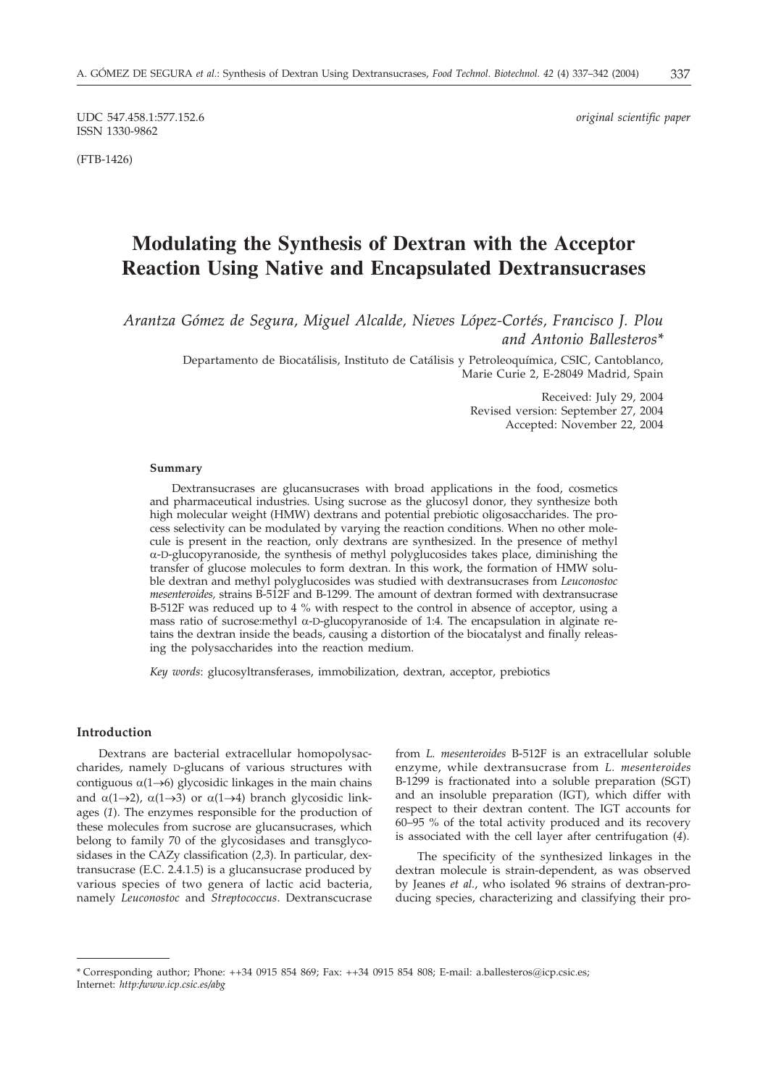UDC 547.458.1:577.152.6 *original scientific paper* ISSN 1330-9862

(FTB-1426)

# **Modulating the Synthesis of Dextran with the Acceptor Reaction Using Native and Encapsulated Dextransucrases**

*Arantza Gómez de Segura, Miguel Alcalde, Nieves López-Cortés, Francisco J. Plou and Antonio Ballesteros\**

> Departamento de Biocatálisis, Instituto de Catálisis y Petroleoquímica, CSIC, Cantoblanco, Marie Curie 2, E-28049 Madrid, Spain

> > Received: July 29, 2004 Revised version: September 27, 2004 Accepted: November 22, 2004

#### **Summary**

Dextransucrases are glucansucrases with broad applications in the food, cosmetics and pharmaceutical industries. Using sucrose as the glucosyl donor, they synthesize both high molecular weight (HMW) dextrans and potential prebiotic oligosaccharides. The process selectivity can be modulated by varying the reaction conditions. When no other molecule is present in the reaction, only dextrans are synthesized. In the presence of methyl  $\alpha$ -D-glucopyranoside, the synthesis of methyl polyglucosides takes place, diminishing the transfer of glucose molecules to form dextran. In this work, the formation of HMW soluble dextran and methyl polyglucosides was studied with dextransucrases from *Leuconostoc mesenteroides,* strains B-512F and B-1299. The amount of dextran formed with dextransucrase B-512F was reduced up to 4 % with respect to the control in absence of acceptor, using a mass ratio of sucrose: methyl  $\alpha$ -D-glucopyranoside of 1:4. The encapsulation in alginate retains the dextran inside the beads, causing a distortion of the biocatalyst and finally releasing the polysaccharides into the reaction medium.

*Key words*: glucosyltransferases, immobilization, dextran, acceptor, prebiotics

## **Introduction**

Dextrans are bacterial extracellular homopolysaccharides, namely D-glucans of various structures with contiguous  $\alpha(1\rightarrow 6)$  glycosidic linkages in the main chains and  $\alpha(1\rightarrow 2)$ ,  $\alpha(1\rightarrow 3)$  or  $\alpha(1\rightarrow 4)$  branch glycosidic linkages (*1*). The enzymes responsible for the production of these molecules from sucrose are glucansucrases, which belong to family 70 of the glycosidases and transglycosidases in the CAZy classification (*2,3*). In particular, dextransucrase (E.C. 2.4.1.5) is a glucansucrase produced by various species of two genera of lactic acid bacteria, namely *Leuconostoc* and *Streptococcus*. Dextranscucrase

from *L. mesenteroides* B-512F is an extracellular soluble enzyme, while dextransucrase from *L. mesenteroides* B-1299 is fractionated into a soluble preparation (SGT) and an insoluble preparation (IGT), which differ with respect to their dextran content. The IGT accounts for 60–95 % of the total activity produced and its recovery is associated with the cell layer after centrifugation (*4*).

The specificity of the synthesized linkages in the dextran molecule is strain-dependent, as was observed by Jeanes *et al.*, who isolated 96 strains of dextran-producing species, characterizing and classifying their pro-

<sup>\*</sup> Corresponding author; Phone: ++34 0915 854 869; Fax: ++34 0915 854 808; E-mail: a.ballesteros*@*icp.csic.es; Internet: *http:/www.icp.csic.es/abg*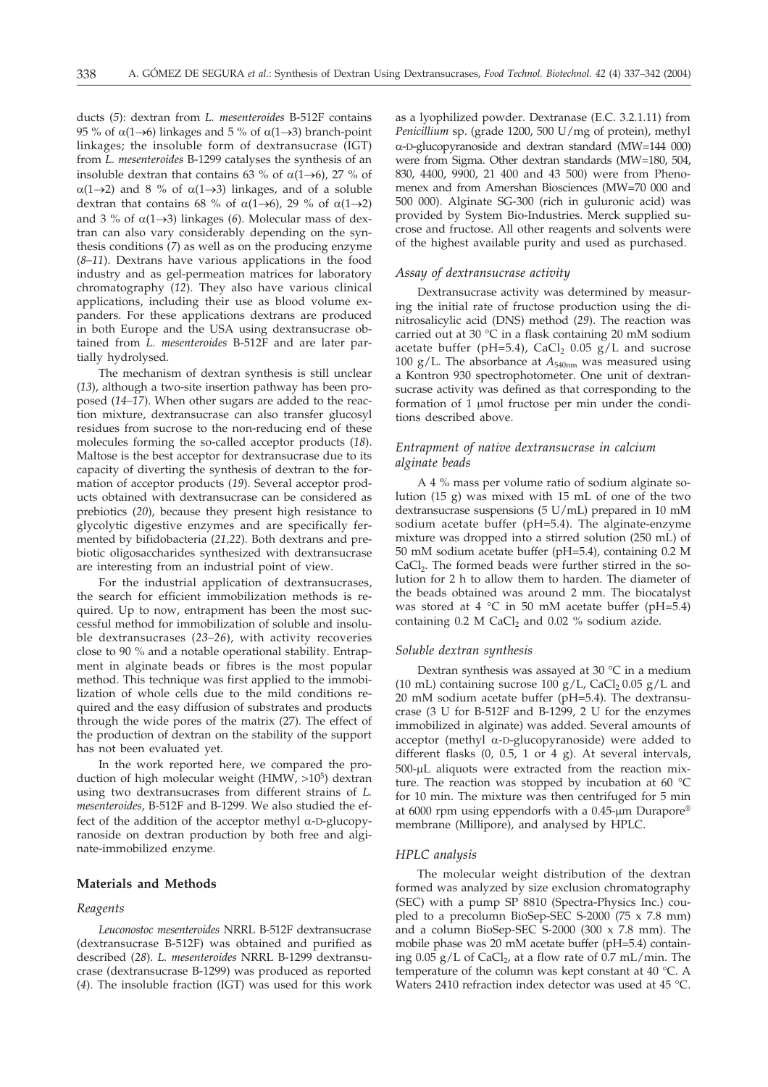ducts (*5*): dextran from *L. mesenteroides* B-512F contains 95 % of  $\alpha$ (1 $\rightarrow$ 6) linkages and 5 % of  $\alpha$ (1 $\rightarrow$ 3) branch-point linkages; the insoluble form of dextransucrase (IGT) from *L. mesenteroides* B-1299 catalyses the synthesis of an insoluble dextran that contains 63 % of  $\alpha(1\rightarrow 6)$ , 27 % of  $\alpha(1\rightarrow 2)$  and 8 % of  $\alpha(1\rightarrow 3)$  linkages, and of a soluble dextran that contains 68 % of  $\alpha(1\rightarrow 6)$ , 29 % of  $\alpha(1\rightarrow 2)$ and 3 % of  $\alpha$ (1 $\rightarrow$ 3) linkages (6). Molecular mass of dextran can also vary considerably depending on the synthesis conditions (*7*) as well as on the producing enzyme (*8–11*). Dextrans have various applications in the food industry and as gel-permeation matrices for laboratory chromatography (*12*). They also have various clinical applications, including their use as blood volume expanders. For these applications dextrans are produced in both Europe and the USA using dextransucrase obtained from *L. mesenteroides* B-512F and are later partially hydrolysed.

The mechanism of dextran synthesis is still unclear (*13*), although a two-site insertion pathway has been proposed (*14–17*). When other sugars are added to the reaction mixture, dextransucrase can also transfer glucosyl residues from sucrose to the non-reducing end of these molecules forming the so-called acceptor products (*18*). Maltose is the best acceptor for dextransucrase due to its capacity of diverting the synthesis of dextran to the formation of acceptor products (*19*). Several acceptor products obtained with dextransucrase can be considered as prebiotics (*20*), because they present high resistance to glycolytic digestive enzymes and are specifically fermented by bifidobacteria (*21,22*). Both dextrans and prebiotic oligosaccharides synthesized with dextransucrase are interesting from an industrial point of view.

For the industrial application of dextransucrases, the search for efficient immobilization methods is required. Up to now, entrapment has been the most successful method for immobilization of soluble and insoluble dextransucrases (*23–26*), with activity recoveries close to 90 % and a notable operational stability. Entrapment in alginate beads or fibres is the most popular method. This technique was first applied to the immobilization of whole cells due to the mild conditions required and the easy diffusion of substrates and products through the wide pores of the matrix (27). The effect of the production of dextran on the stability of the support has not been evaluated yet.

In the work reported here, we compared the production of high molecular weight (HMW,  $>10^5$ ) dextran using two dextransucrases from different strains of *L. mesenteroides*, B-512F and B-1299. We also studied the effect of the addition of the acceptor methyl  $\alpha$ -D-glucopyranoside on dextran production by both free and alginate-immobilized enzyme.

## **Materials and Methods**

## *Reagents*

*Leuconostoc mesenteroides* NRRL B-512F dextransucrase (dextransucrase B-512F) was obtained and purified as described (*28*). *L. mesenteroides* NRRL B-1299 dextransucrase (dextransucrase B-1299) was produced as reported (*4*). The insoluble fraction (IGT) was used for this work

as a lyophilized powder. Dextranase (E.C. 3.2.1.11) from *Penicillium* sp. (grade 1200, 500 U/mg of protein), methyl -D-glucopyranoside and dextran standard (MW=144 000) were from Sigma. Other dextran standards (MW=180, 504, 830, 4400, 9900, 21 400 and 43 500) were from Phenomenex and from Amershan Biosciences (MW=70 000 and 500 000). Alginate SG-300 (rich in guluronic acid) was provided by System Bio-Industries. Merck supplied sucrose and fructose. All other reagents and solvents were of the highest available purity and used as purchased.

#### *Assay of dextransucrase activity*

Dextransucrase activity was determined by measuring the initial rate of fructose production using the dinitrosalicylic acid (DNS) method (*29*). The reaction was carried out at 30 °C in a flask containing 20 mM sodium acetate buffer (pH=5.4), CaCl<sub>2</sub> 0.05  $g/L$  and sucrose 100 g/L. The absorbance at *A*540nm was measured using a Kontron 930 spectrophotometer. One unit of dextransucrase activity was defined as that corresponding to the formation of  $1 \mu$ mol fructose per min under the conditions described above.

## *Entrapment of native dextransucrase in calcium alginate beads*

A 4 % mass per volume ratio of sodium alginate solution (15 g) was mixed with 15 mL of one of the two dextransucrase suspensions (5 U/mL) prepared in 10 mM sodium acetate buffer (pH=5.4). The alginate-enzyme mixture was dropped into a stirred solution (250 mL) of 50 mM sodium acetate buffer (pH=5.4), containing 0.2 M CaCl<sub>2</sub>. The formed beads were further stirred in the solution for 2 h to allow them to harden. The diameter of the beads obtained was around 2 mm. The biocatalyst was stored at 4  $^{\circ}$ C in 50 mM acetate buffer (pH=5.4) containing  $0.2$  M CaCl<sub>2</sub> and  $0.02$  % sodium azide.

#### *Soluble dextran synthesis*

Dextran synthesis was assayed at 30 °C in a medium (10 mL) containing sucrose 100  $g/L$ , CaCl<sub>2</sub> 0.05  $g/L$  and 20 mM sodium acetate buffer (pH=5.4). The dextransucrase (3 U for B-512F and B-1299, 2 U for the enzymes immobilized in alginate) was added. Several amounts of acceptor (methyl  $\alpha$ -D-glucopyranoside) were added to different flasks (0, 0.5, 1 or 4 g). At several intervals, 500-µL aliquots were extracted from the reaction mixture. The reaction was stopped by incubation at 60 °C for 10 min. The mixture was then centrifuged for 5 min at 6000 rpm using eppendorfs with a 0.45- $\mu$ m Durapore® membrane (Millipore), and analysed by HPLC.

## *HPLC analysis*

The molecular weight distribution of the dextran formed was analyzed by size exclusion chromatography (SEC) with a pump SP 8810 (Spectra-Physics Inc.) coupled to a precolumn BioSep-SEC S-2000 (75 x 7.8 mm) and a column BioSep-SEC S-2000 (300 x 7.8 mm). The mobile phase was 20 mM acetate buffer (pH=5.4) containing  $0.05$  g/L of CaCl<sub>2</sub>, at a flow rate of 0.7 mL/min. The temperature of the column was kept constant at 40 °C. A Waters 2410 refraction index detector was used at 45 °C.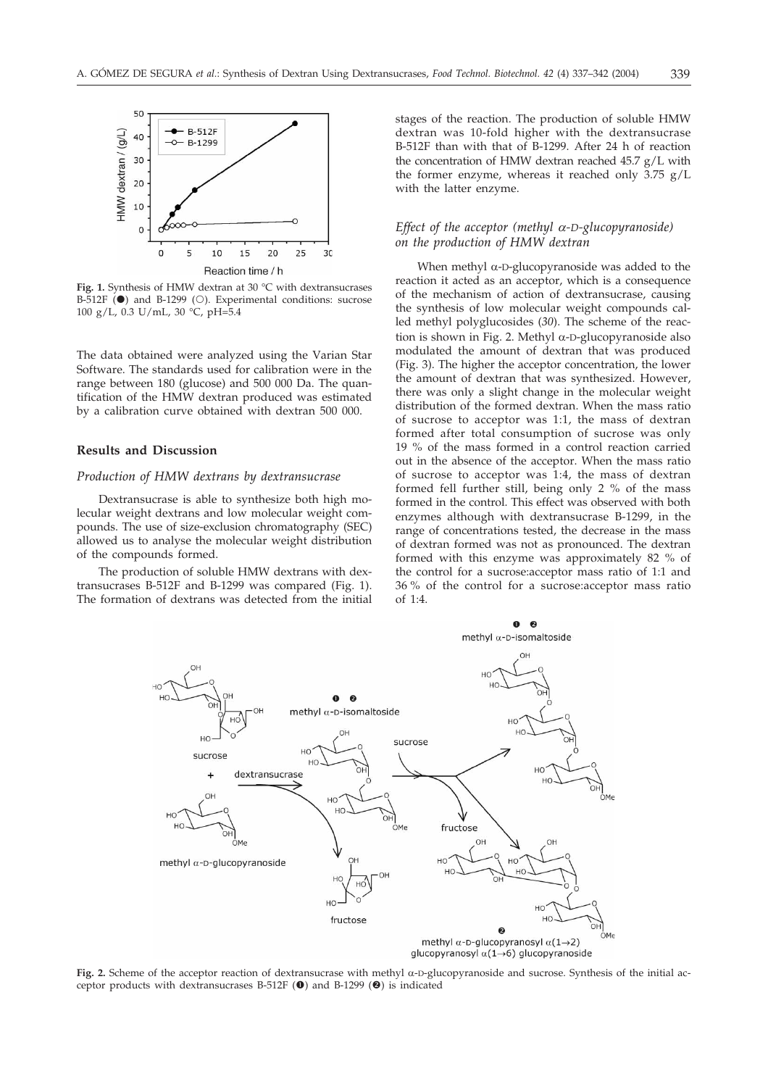

**Fig. 1.** Synthesis of HMW dextran at 30 °C with dextransucrases B-512F  $\overline{()}$  and B-1299  $\overline{()}$ . Experimental conditions: sucrose 100 g/L, 0.3 U/mL, 30 °C, pH=5.4

The data obtained were analyzed using the Varian Star Software. The standards used for calibration were in the range between 180 (glucose) and 500 000 Da. The quantification of the HMW dextran produced was estimated by a calibration curve obtained with dextran 500 000.

## **Results and Discussion**

## *Production of HMW dextrans by dextransucrase*

Dextransucrase is able to synthesize both high molecular weight dextrans and low molecular weight compounds. The use of size-exclusion chromatography (SEC) allowed us to analyse the molecular weight distribution of the compounds formed.

The production of soluble HMW dextrans with dextransucrases B-512F and B-1299 was compared (Fig. 1). The formation of dextrans was detected from the initial stages of the reaction. The production of soluble HMW dextran was 10-fold higher with the dextransucrase B-512F than with that of B-1299. After 24 h of reaction the concentration of HMW dextran reached 45.7 g/L with the former enzyme, whereas it reached only 3.75 g/L with the latter enzyme.

## *Effect of the acceptor (methyl*  $\alpha$ *-D-glucopyranoside) on the production of HMW dextran*

When methyl  $\alpha$ -D-glucopyranoside was added to the reaction it acted as an acceptor, which is a consequence of the mechanism of action of dextransucrase, causing the synthesis of low molecular weight compounds called methyl polyglucosides (*30*). The scheme of the reaction is shown in Fig. 2. Methyl  $\alpha$ -D-glucopyranoside also modulated the amount of dextran that was produced (Fig. 3). The higher the acceptor concentration, the lower the amount of dextran that was synthesized. However, there was only a slight change in the molecular weight distribution of the formed dextran. When the mass ratio of sucrose to acceptor was 1:1, the mass of dextran formed after total consumption of sucrose was only 19 % of the mass formed in a control reaction carried out in the absence of the acceptor. When the mass ratio of sucrose to acceptor was 1:4, the mass of dextran formed fell further still, being only 2 % of the mass formed in the control. This effect was observed with both enzymes although with dextransucrase B-1299, in the range of concentrations tested, the decrease in the mass of dextran formed was not as pronounced. The dextran formed with this enzyme was approximately 82 % of the control for a sucrose:acceptor mass ratio of 1:1 and 36 % of the control for a sucrose:acceptor mass ratio of 1:4.



**Fig. 2.** Scheme of the acceptor reaction of dextransucrase with methyl  $\alpha$ -D-glucopyranoside and sucrose. Synthesis of the initial acceptor products with dextransucrases B-512F  $(\bullet)$  and B-1299  $(\bullet)$  is indicated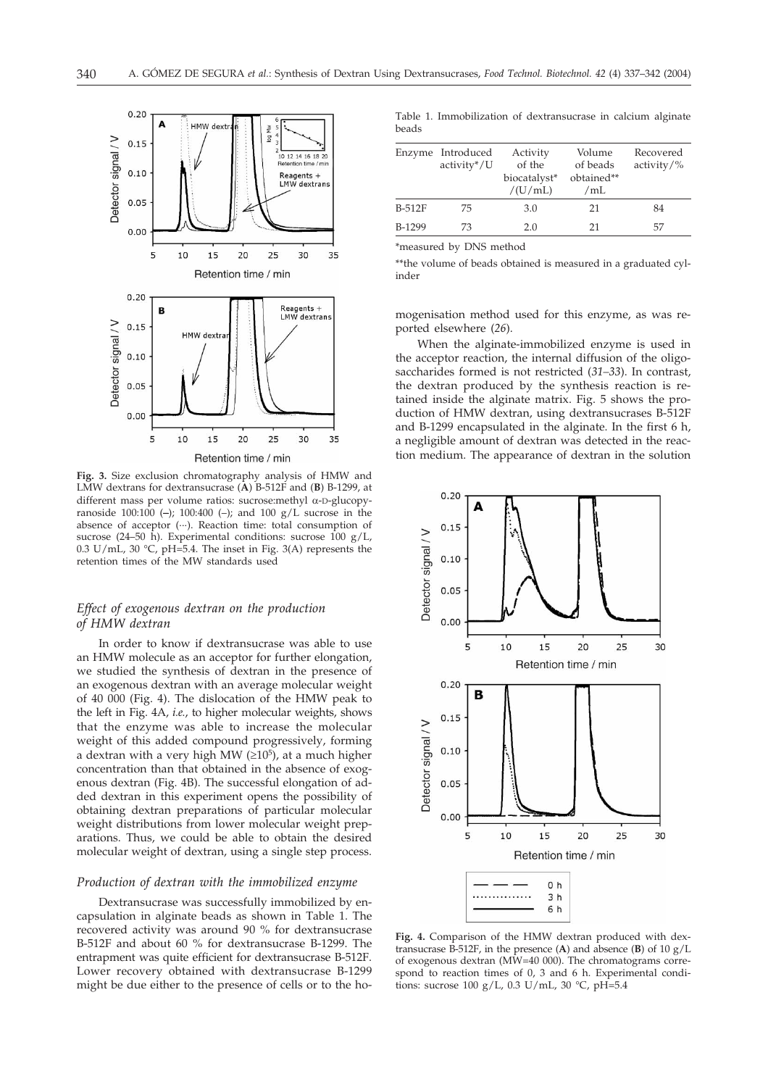

**Fig. 3.** Size exclusion chromatography analysis of HMW and LMW dextrans for dextransucrase (**A**) B-512F and (**B**) B-1299, at different mass per volume ratios: sucrose: methyl  $\alpha$ -D-glucopyranoside 100:100 (**–**); 100:400 (–); and 100 g/L sucrose in the absence of acceptor ( $\cdots$ ). Reaction time: total consumption of sucrose (24–50 h). Experimental conditions: sucrose  $100 \text{ g/L}$ , 0.3 U/mL, 30  $\degree$ C, pH=5.4. The inset in Fig. 3(A) represents the retention times of the MW standards used

## *Effect of exogenous dextran on the production of HMW dextran*

In order to know if dextransucrase was able to use an HMW molecule as an acceptor for further elongation, we studied the synthesis of dextran in the presence of an exogenous dextran with an average molecular weight of 40 000 (Fig. 4). The dislocation of the HMW peak to the left in Fig. 4A, *i.e.*, to higher molecular weights, shows that the enzyme was able to increase the molecular weight of this added compound progressively, forming a dextran with a very high MW ( $\geq 10^5$ ), at a much higher concentration than that obtained in the absence of exogenous dextran (Fig. 4B). The successful elongation of added dextran in this experiment opens the possibility of obtaining dextran preparations of particular molecular weight distributions from lower molecular weight preparations. Thus, we could be able to obtain the desired molecular weight of dextran, using a single step process.

#### *Production of dextran with the immobilized enzyme*

Dextransucrase was successfully immobilized by encapsulation in alginate beads as shown in Table 1. The recovered activity was around 90 % for dextransucrase B-512F and about 60 % for dextransucrase B-1299. The entrapment was quite efficient for dextransucrase B-512F. Lower recovery obtained with dextransucrase B-1299 might be due either to the presence of cells or to the ho-

Table 1. Immobilization of dextransucrase in calcium alginate beads

|        | Enzyme Introduced<br>activity*/U | Activity<br>of the<br>biocatalyst*<br>/(U/mL) | Volume<br>of beads<br>obtained**<br>/mL | Recovered<br>$activity/\%$ |
|--------|----------------------------------|-----------------------------------------------|-----------------------------------------|----------------------------|
| B-512F | 75                               | 3.0                                           | 21                                      | 84                         |
| B-1299 | 73                               | 2.0                                           | 21                                      | 57                         |

\*measured by DNS method

\*\*the volume of beads obtained is measured in a graduated cylinder

mogenisation method used for this enzyme, as was reported elsewhere (*26*).

When the alginate-immobilized enzyme is used in the acceptor reaction, the internal diffusion of the oligosaccharides formed is not restricted (*31–33*). In contrast, the dextran produced by the synthesis reaction is retained inside the alginate matrix. Fig. 5 shows the production of HMW dextran, using dextransucrases B-512F and B-1299 encapsulated in the alginate. In the first 6 h, a negligible amount of dextran was detected in the reaction medium. The appearance of dextran in the solution



**Fig. 4.** Comparison of the HMW dextran produced with dextransucrase B-512F, in the presence (**A**) and absence (**B**) of 10 g/L of exogenous dextran (MW=40 000). The chromatograms correspond to reaction times of 0, 3 and 6 h. Experimental conditions: sucrose 100 g/L, 0.3 U/mL, 30 °C, pH=5.4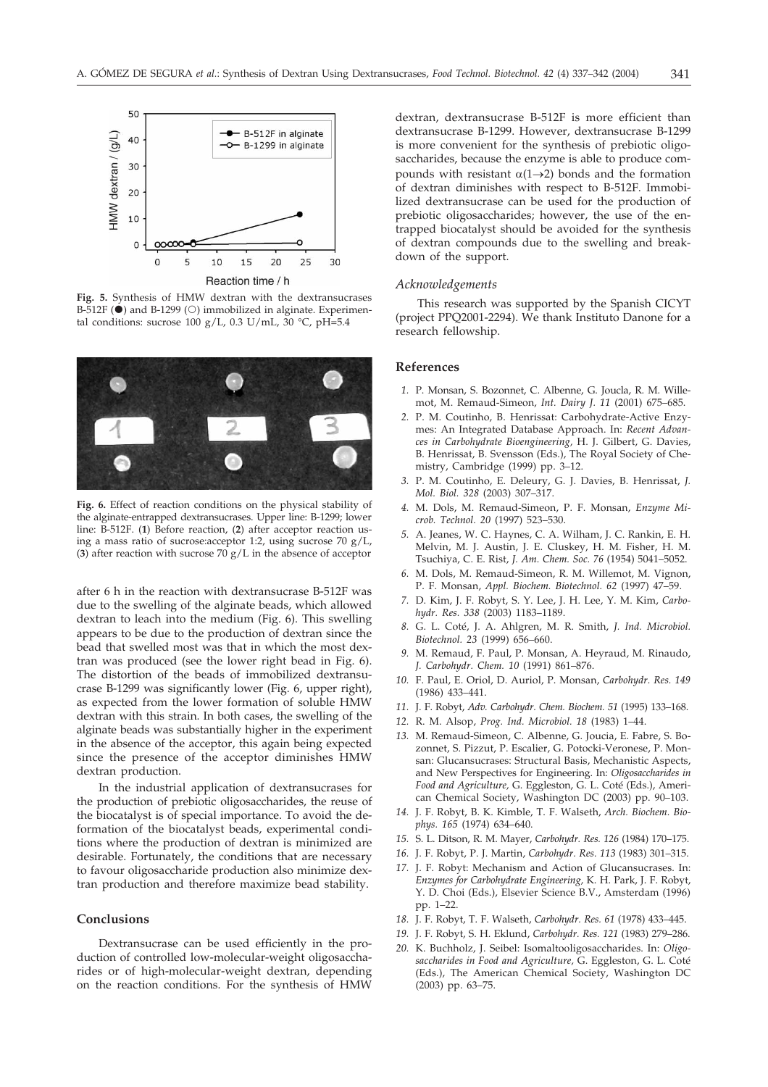

**Fig. 5.** Synthesis of HMW dextran with the dextransucrases B-512F  $(\bullet)$  and B-1299  $(\circ)$  immobilized in alginate. Experimental conditions: sucrose 100 g/L, 0.3 U/mL,  $30 °C$ , pH=5.4



**Fig. 6.** Effect of reaction conditions on the physical stability of the alginate-entrapped dextransucrases. Upper line: B-1299; lower line: B-512F. (**1**) Before reaction, (**2**) after acceptor reaction using a mass ratio of sucrose:acceptor 1:2, using sucrose 70 g/L, (**3**) after reaction with sucrose 70 g/L in the absence of acceptor

after 6 h in the reaction with dextransucrase B-512F was due to the swelling of the alginate beads, which allowed dextran to leach into the medium (Fig. 6). This swelling appears to be due to the production of dextran since the bead that swelled most was that in which the most dextran was produced (see the lower right bead in Fig. 6). The distortion of the beads of immobilized dextransucrase B-1299 was significantly lower (Fig. 6, upper right), as expected from the lower formation of soluble HMW dextran with this strain. In both cases, the swelling of the alginate beads was substantially higher in the experiment in the absence of the acceptor, this again being expected since the presence of the acceptor diminishes HMW dextran production.

In the industrial application of dextransucrases for the production of prebiotic oligosaccharides, the reuse of the biocatalyst is of special importance. To avoid the deformation of the biocatalyst beads, experimental conditions where the production of dextran is minimized are desirable. Fortunately, the conditions that are necessary to favour oligosaccharide production also minimize dextran production and therefore maximize bead stability.

#### **Conclusions**

Dextransucrase can be used efficiently in the production of controlled low-molecular-weight oligosaccharides or of high-molecular-weight dextran, depending on the reaction conditions. For the synthesis of HMW

dextran, dextransucrase B-512F is more efficient than dextransucrase B-1299. However, dextransucrase B-1299 is more convenient for the synthesis of prebiotic oligosaccharides, because the enzyme is able to produce compounds with resistant  $\alpha(1\rightarrow 2)$  bonds and the formation of dextran diminishes with respect to B-512F. Immobilized dextransucrase can be used for the production of prebiotic oligosaccharides; however, the use of the entrapped biocatalyst should be avoided for the synthesis of dextran compounds due to the swelling and breakdown of the support.

#### *Acknowledgements*

This research was supported by the Spanish CICYT (project PPQ2001-2294). We thank Instituto Danone for a research fellowship.

#### **References**

- *1.* P. Monsan, S. Bozonnet, C. Albenne, G. Joucla, R. M. Willemot, M. Remaud-Simeon, *Int. Dairy J. 11* (2001) 675–685.
- *2.* P. M. Coutinho, B. Henrissat: Carbohydrate-Active Enzymes: An Integrated Database Approach. In: *Recent Advances in Carbohydrate Bioengineering,* H. J. Gilbert, G. Davies, B. Henrissat, B. Svensson (Eds.), The Royal Society of Chemistry, Cambridge (1999) pp. 3–12.
- *3.* P. M. Coutinho, E. Deleury, G. J. Davies, B. Henrissat, *J. Mol. Biol. 328* (2003) 307–317.
- *4.* M. Dols, M. Remaud-Simeon, P. F. Monsan, *Enzyme Microb. Technol. 20* (1997) 523–530.
- *5.* A. Jeanes, W. C. Haynes, C. A. Wilham, J. C. Rankin, E. H. Melvin, M. J. Austin, J. E. Cluskey, H. M. Fisher, H. M. Tsuchiya, C. E. Rist, *J. Am. Chem. Soc. 76* (1954) 5041–5052.
- *6.* M. Dols, M. Remaud-Simeon, R. M. Willemot, M. Vignon, P. F. Monsan, *Appl. Biochem. Biotechnol. 62* (1997) 47–59.
- *7.* D. Kim, J. F. Robyt, S. Y. Lee, J. H. Lee, Y. M. Kim, *Carbohydr. Res. 338* (2003) 1183–1189.
- *8.* G. L. Coté, J. A. Ahlgren, M. R. Smith, *J. Ind. Microbiol. Biotechnol. 23* (1999) 656–660.
- *9.* M. Remaud, F. Paul, P. Monsan, A. Heyraud, M. Rinaudo, *J. Carbohydr. Chem. 10* (1991) 861–876.
- *10.* F. Paul, E. Oriol, D. Auriol, P. Monsan, *Carbohydr. Res. 149* (1986) 433–441.
- *11.* J. F. Robyt, *Adv. Carbohydr. Chem. Biochem. 51* (1995) 133–168.
- *12.* R. M. Alsop, *Prog. Ind. Microbiol. 18* (1983) 1–44.
- *13.* M. Remaud-Simeon, C. Albenne, G. Joucia, E. Fabre, S. Bozonnet, S. Pizzut, P. Escalier, G. Potocki-Veronese, P. Monsan: Glucansucrases: Structural Basis, Mechanistic Aspects, and New Perspectives for Engineering. In: *Oligosaccharides in Food and Agriculture,* G. Eggleston, G. L. Coté (Eds.), American Chemical Society, Washington DC (2003) pp. 90–103.
- *14.* J. F. Robyt, B. K. Kimble, T. F. Walseth, *Arch. Biochem. Biophys. 165* (1974) 634–640.
- *15.* S. L. Ditson, R. M. Mayer, *Carbohydr. Res. 126* (1984) 170–175.
- *16.* J. F. Robyt, P. J. Martin, *Carbohydr. Res. 113* (1983) 301–315.
- *17.* J. F. Robyt: Mechanism and Action of Glucansucrases. In: *Enzymes for Carbohydrate Engineering,* K. H. Park, J. F. Robyt, Y. D. Choi (Eds.), Elsevier Science B.V., Amsterdam (1996) pp. 1–22.
- *18.* J. F. Robyt, T. F. Walseth, *Carbohydr. Res. 61* (1978) 433–445.
- *19.* J. F. Robyt, S. H. Eklund, *Carbohydr. Res. 121* (1983) 279–286.
- *20.* K. Buchholz, J. Seibel: Isomaltooligosaccharides. In: *Oligosaccharides in Food and Agriculture,* G. Eggleston, G. L. Coté (Eds.), The American Chemical Society, Washington DC (2003) pp. 63–75.